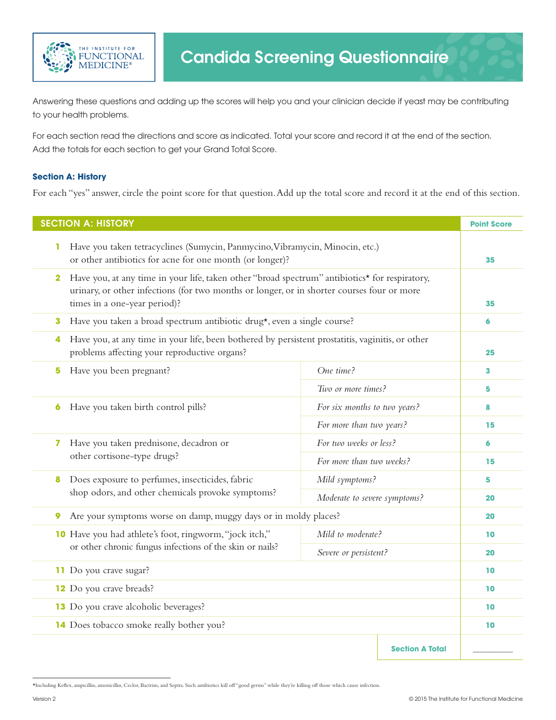

Answering these questions and adding up the scores will help you and your clinician decide if yeast may be contributing to your health problems.

For each section read the directions and score as indicated. Total your score and record it at the end of the section. Add the totals for each section to get your Grand Total Score.

## **Section A: History**

For each "yes" answer, circle the point score for that question. Add up the total score and record it at the end of this section.

| <b>SECTION A: HISTORY</b>                                                                                                                                                                                                                    |                              | <b>Point Score</b> |
|----------------------------------------------------------------------------------------------------------------------------------------------------------------------------------------------------------------------------------------------|------------------------------|--------------------|
| Have you taken tetracyclines (Sumycin, Panmycino, Vibramycin, Minocin, etc.)<br>1<br>or other antibiotics for acne for one month (or longer)?                                                                                                |                              | 35                 |
| Have you, at any time in your life, taken other "broad spectrum" antibiotics* for respiratory,<br>$\mathbf{2}$<br>urinary, or other infections (for two months or longer, or in shorter courses four or more<br>times in a one-year period)? |                              | 35                 |
| Have you taken a broad spectrum antibiotic drug*, even a single course?<br>3                                                                                                                                                                 |                              | 6                  |
| Have you, at any time in your life, been bothered by persistent prostatitis, vaginitis, or other<br>4<br>problems affecting your reproductive organs?                                                                                        |                              | 25                 |
| Have you been pregnant?<br>5                                                                                                                                                                                                                 | One time?                    | 3                  |
|                                                                                                                                                                                                                                              | Two or more times?           | 5                  |
| Have you taken birth control pills?<br>6                                                                                                                                                                                                     | For six months to two years? | 8                  |
|                                                                                                                                                                                                                                              | For more than two years?     | 15                 |
| Have you taken prednisone, decadron or<br>7                                                                                                                                                                                                  | For two weeks or less?       | 6                  |
| other cortisone-type drugs?                                                                                                                                                                                                                  | For more than two weeks?     | 15                 |
| Does exposure to perfumes, insecticides, fabric<br>8                                                                                                                                                                                         | Mild symptoms?               | 5                  |
| shop odors, and other chemicals provoke symptoms?                                                                                                                                                                                            | Moderate to severe symptoms? | 20                 |
| Are your symptoms worse on damp, muggy days or in moldy places?<br>9                                                                                                                                                                         |                              | 20                 |
| 10 Have you had athlete's foot, ringworm, "jock itch,"                                                                                                                                                                                       | Mild to moderate?            | 10                 |
| or other chronic fungus infections of the skin or nails?                                                                                                                                                                                     | Severe or persistent?        | 20                 |
| 11 Do you crave sugar?                                                                                                                                                                                                                       |                              | 10                 |
| 12 Do you crave breads?                                                                                                                                                                                                                      |                              | 10                 |
| 13 Do you crave alcoholic beverages?                                                                                                                                                                                                         |                              | 10                 |
| 14 Does tobacco smoke really bother you?                                                                                                                                                                                                     |                              | 10                 |
|                                                                                                                                                                                                                                              | <b>Section A Total</b>       |                    |

<sup>\*</sup>Including Keflex, ampicillin, amoxicillin, Ceclor, Bactrim, and Septra. Such antibiotics kill off "good germs" while they're killing off those which cause infection.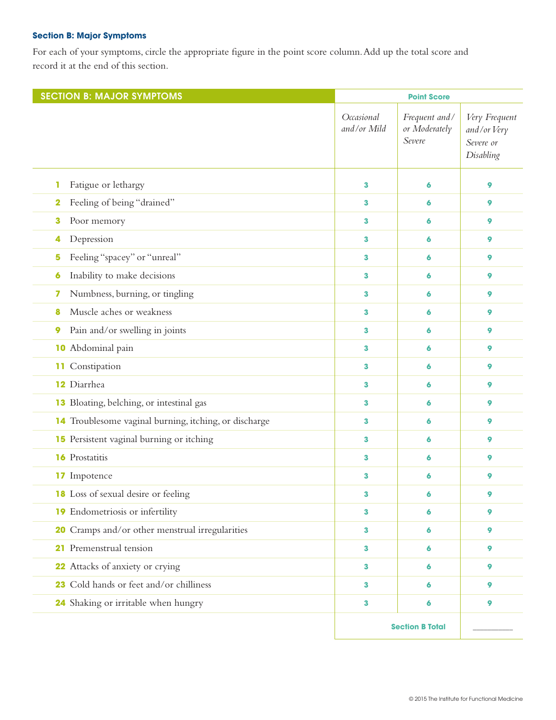## **Section B: Major Symptoms**

For each of your symptoms, circle the appropriate figure in the point score column. Add up the total score and record it at the end of this section.

| <b>SECTION B: MAJOR SYMPTOMS</b>                      |                           | <b>Point Score</b>                       |                                                        |
|-------------------------------------------------------|---------------------------|------------------------------------------|--------------------------------------------------------|
|                                                       | Occasional<br>and/or Mild | Frequent and/<br>or Moderately<br>Severe | Very Frequent<br>and/or Very<br>Severe or<br>Disabling |
| Fatigue or lethargy<br>1                              | 3                         | 6                                        | 9                                                      |
| Feeling of being "drained"<br>2                       | 3                         | 6                                        | 9                                                      |
| Poor memory<br>3                                      | 3                         | 6                                        | 9                                                      |
| Depression<br>4                                       | 3                         | 6                                        | 9                                                      |
| Feeling "spacey" or "unreal"<br>5                     | 3                         | 6                                        | 9                                                      |
| Inability to make decisions<br>6                      | 3                         | 6                                        | 9                                                      |
| Numbness, burning, or tingling<br>7                   | 3                         | 9<br>6                                   |                                                        |
| Muscle aches or weakness<br>8                         | 3                         | 6                                        | 9                                                      |
| Pain and/or swelling in joints<br>9                   | 3                         | 6                                        | 9                                                      |
| <b>10</b> Abdominal pain                              | 3                         | 6                                        | 9                                                      |
| 11 Constipation                                       | 3                         | 6                                        | 9                                                      |
| 12 Diarrhea                                           | 3                         | 6                                        | 9                                                      |
| 13 Bloating, belching, or intestinal gas              | 3<br>6                    |                                          | 9                                                      |
| 14 Troublesome vaginal burning, itching, or discharge | 3                         | 6                                        | 9                                                      |
| 15 Persistent vaginal burning or itching<br>3<br>6    |                           |                                          | 9                                                      |
| <b>16</b> Prostatitis                                 | 3                         | 6                                        | 9                                                      |
| <b>17</b> Impotence<br>3                              |                           | 6                                        | 9                                                      |
| <b>18</b> Loss of sexual desire or feeling            | 3                         | 6                                        | 9                                                      |
| 19 Endometriosis or infertility                       | 3                         | 6                                        | 9                                                      |
| 20 Cramps and/or other menstrual irregularities       | 3                         | 6                                        | 9                                                      |
| 21 Premenstrual tension                               | 3                         | 6                                        | 9                                                      |
| 22 Attacks of anxiety or crying                       | 3                         | 6                                        | 9                                                      |
| 23 Cold hands or feet and/or chilliness               | 3                         | 6                                        | 9                                                      |
| 24 Shaking or irritable when hungry                   | 3                         | 6                                        | 9                                                      |
|                                                       |                           | <b>Section B Total</b>                   |                                                        |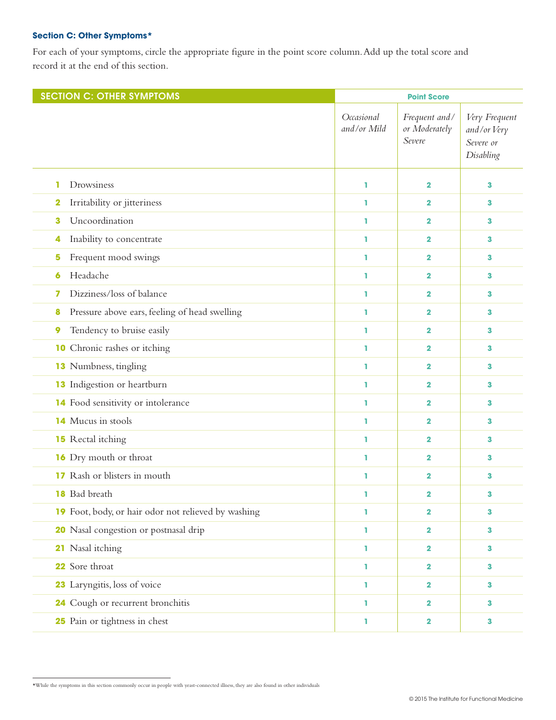## **Section C: Other Symptoms\***

For each of your symptoms, circle the appropriate figure in the point score column. Add up the total score and record it at the end of this section.

| <b>SECTION C: OTHER SYMPTOMS</b>                    |                           | <b>Point Score</b>                       |                                                        |
|-----------------------------------------------------|---------------------------|------------------------------------------|--------------------------------------------------------|
|                                                     | Occasional<br>and/or Mild | Frequent and/<br>or Moderately<br>Severe | Very Frequent<br>and/or Very<br>Severe or<br>Disabling |
| Drowsiness<br>1                                     | ı                         | $\mathbf 2$                              | 3                                                      |
| Irritability or jitteriness<br>2                    | ı                         | $\mathbf 2$                              | 3                                                      |
| Uncoordination<br>3                                 | ı.<br>$\mathbf 2$         |                                          | 3                                                      |
| Inability to concentrate<br>4                       | ı                         | $\mathbf 2$                              | з                                                      |
| Frequent mood swings<br>5                           | ı                         | $\mathbf 2$                              | 3                                                      |
| Headache<br>6                                       | ı.                        | $\mathbf 2$                              | 3                                                      |
| Dizziness/loss of balance<br>7                      | ı                         | $\mathbf 2$                              | з                                                      |
| Pressure above ears, feeling of head swelling<br>8  | ı                         | $\mathbf 2$                              | 3                                                      |
| Tendency to bruise easily<br>9                      | ı.                        | $\mathbf 2$                              | 3                                                      |
| <b>10</b> Chronic rashes or itching                 | ı                         | $\mathbf 2$                              | 3                                                      |
| <b>13</b> Numbness, tingling                        | ı                         | $\mathbf 2$                              | 3                                                      |
| <b>13</b> Indigestion or heartburn                  | ı.                        | $\mathbf 2$                              | 3                                                      |
| 14 Food sensitivity or intolerance                  | ı                         | $\mathbf 2$                              | 3                                                      |
| 14 Mucus in stools                                  | ı<br>$\mathbf 2$          |                                          | 3                                                      |
| <b>15</b> Rectal itching                            | 1<br>$\mathbf 2$          |                                          | 3                                                      |
| <b>16</b> Dry mouth or throat                       | ı                         | $\mathbf 2$                              | з                                                      |
| <b>17</b> Rash or blisters in mouth                 | ı                         | 2                                        | з                                                      |
| <b>18</b> Bad breath                                | ı.                        | 2                                        | 3                                                      |
| 19 Foot, body, or hair odor not relieved by washing | ı                         | $\mathbf 2$                              | 3                                                      |
| 20 Nasal congestion or postnasal drip               | ı                         | $\mathbf 2$                              | 3                                                      |
| 21 Nasal itching                                    | ı.                        | $\mathbf 2$                              | 3                                                      |
| 22 Sore throat                                      | ı.                        | $\mathbf 2$                              | 3                                                      |
| 23 Laryngitis, loss of voice                        | ı                         | $\mathbf 2$                              | 3                                                      |
| 24 Cough or recurrent bronchitis                    | 1                         | $\mathbf 2$                              | 3                                                      |
| 25 Pain or tightness in chest<br>2<br>ı.            |                           |                                          | 3                                                      |

\*While the symptoms in this section commonly occur in people with yeast-connected illness, they are also found in other individuals